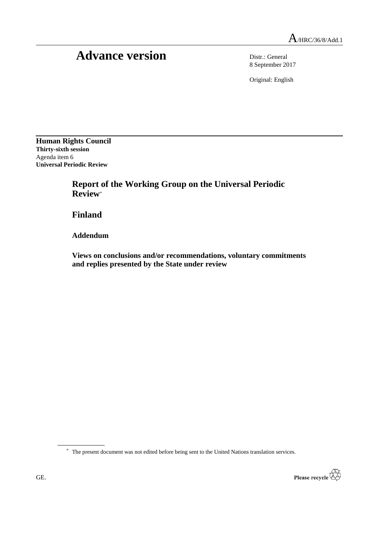# Advance version Distr.: General

8 September 2017

Original: English

**Human Rights Council Thirty-sixth session** Agenda item 6 **Universal Periodic Review**

> **Report of the Working Group on the Universal Periodic Review**\*

**Finland**

**Addendum**

**Views on conclusions and/or recommendations, voluntary commitments and replies presented by the State under review**

\* The present document was not edited before being sent to the United Nations translation services.

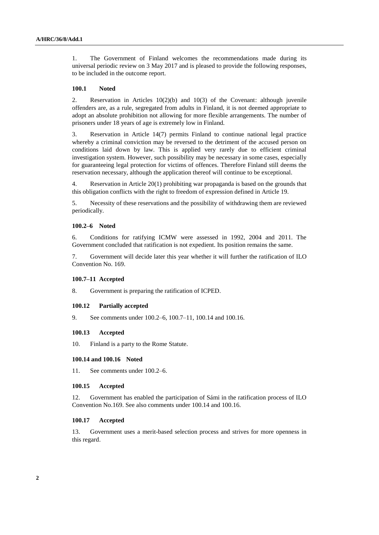1. The Government of Finland welcomes the recommendations made during its universal periodic review on 3 May 2017 and is pleased to provide the following responses, to be included in the outcome report.

# **100.1 Noted**

2. Reservation in Articles 10(2)(b) and 10(3) of the Covenant: although juvenile offenders are, as a rule, segregated from adults in Finland, it is not deemed appropriate to adopt an absolute prohibition not allowing for more flexible arrangements. The number of prisoners under 18 years of age is extremely low in Finland.

3. Reservation in Article 14(7) permits Finland to continue national legal practice whereby a criminal conviction may be reversed to the detriment of the accused person on conditions laid down by law. This is applied very rarely due to efficient criminal investigation system. However, such possibility may be necessary in some cases, especially for guaranteeing legal protection for victims of offences. Therefore Finland still deems the reservation necessary, although the application thereof will continue to be exceptional.

4. Reservation in Article 20(1) prohibiting war propaganda is based on the grounds that this obligation conflicts with the right to freedom of expression defined in Article 19.

5. Necessity of these reservations and the possibility of withdrawing them are reviewed periodically.

# **100.2–6 Noted**

6. Conditions for ratifying ICMW were assessed in 1992, 2004 and 2011. The Government concluded that ratification is not expedient. Its position remains the same.

7. Government will decide later this year whether it will further the ratification of ILO Convention No. 169.

# **100.7–11 Accepted**

8. Government is preparing the ratification of ICPED.

# **100.12 Partially accepted**

9. See comments under 100.2–6, 100.7–11, 100.14 and 100.16.

# **100.13 Accepted**

10. Finland is a party to the Rome Statute.

# **100.14 and 100.16 Noted**

11. See comments under 100.2–6.

# **100.15 Accepted**

12. Government has enabled the participation of Sámi in the ratification process of ILO Convention No.169. See also comments under 100.14 and 100.16.

# **100.17 Accepted**

13. Government uses a merit-based selection process and strives for more openness in this regard.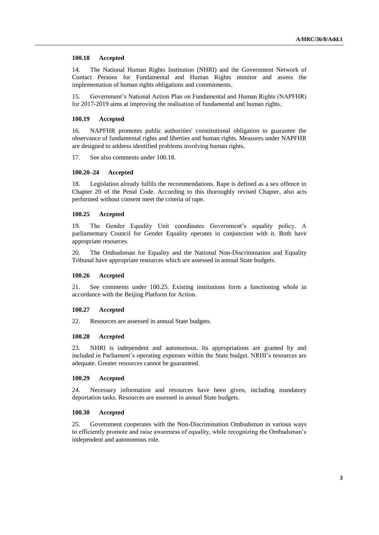# **100.18 Accepted**

14. The National Human Rights Institution (NHRI) and the Government Network of Contact Persons for Fundamental and Human Rights monitor and assess the implementation of human rights obligations and commitments.

15. Government's National Action Plan on Fundamental and Human Rights (NAPFHR) for 2017-2019 aims at improving the realisation of fundamental and human rights.

## **100.19 Accepted**

16. NAPFHR promotes public authorities' constitutional obligation to guarantee the observance of fundamental rights and liberties and human rights. Measures under NAPFHR are designed to address identified problems involving human rights.

17. See also comments under 100.18.

# **100.20–24 Accepted**

18. Legislation already fulfils the recommendations. Rape is defined as a sex offence in Chapter 20 of the Penal Code. According to this thoroughly revised Chapter, also acts performed without consent meet the criteria of rape.

# **100.25 Accepted**

19. The Gender Equality Unit coordinates Government's equality policy. A parliamentary Council for Gender Equality operates in conjunction with it. Both have appropriate resources.

20. The Ombudsman for Equality and the National Non-Discrimination and Equality Tribunal have appropriate resources which are assessed in annual State budgets.

# **100.26 Accepted**

21. See comments under 100.25. Existing institutions form a functioning whole in accordance with the Beijing Platform for Action.

# **100.27 Accepted**

22. Resources are assessed in annual State budgets.

## **100.28 Accepted**

23. NHRI is independent and autonomous. Its appropriations are granted by and included in Parliament's operating expenses within the State budget. NRHI's resources are adequate. Greater resources cannot be guaranteed.

# **100.29 Accepted**

24. Necessary information and resources have been given, including mandatory deportation tasks. Resources are assessed in annual State budgets.

# **100.30 Accepted**

25. Government cooperates with the Non-Discrimination Ombudsman in various ways to efficiently promote and raise awareness of equality, while recognizing the Ombudsman's independent and autonomous role.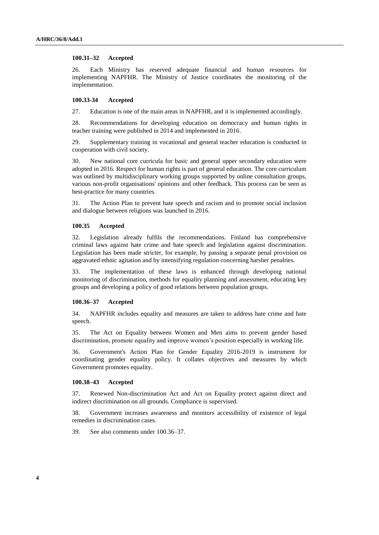## **100.31–32 Accepted**

26. Each Ministry has reserved adequate financial and human resources for implementing NAPFHR. The Ministry of Justice coordinates the monitoring of the implementation.

## **100.33-34 Accepted**

27. Education is one of the main areas in NAPFHR, and it is implemented accordingly.

28. Recommendations for developing education on democracy and human rights in teacher training were published in 2014 and implemented in 2016.

29. Supplementary training in vocational and general teacher education is conducted in cooperation with civil society.

30. New national core curricula for basic and general upper secondary education were adopted in 2016. Respect for human rights is part of general education. The core curriculum was outlined by multidisciplinary working groups supported by online consultation groups, various non-profit organisations' opinions and other feedback. This process can be seen as best-practice for many countries.

31. The Action Plan to prevent hate speech and racism and to promote social inclusion and dialogue between religions was launched in 2016.

# **100.35 Accepted**

32. Legislation already fulfils the recommendations. Finland has comprehensive criminal laws against hate crime and hate speech and legislation against discrimination. Legislation has been made stricter, for example, by passing a separate penal provision on aggravated ethnic agitation and by intensifying regulation concerning harsher penalties.

33. The implementation of these laws is enhanced through developing national monitoring of discrimination, methods for equality planning and assessment, educating key groups and developing a policy of good relations between population groups.

# **100.36–37 Accepted**

34. NAPFHR includes equality and measures are taken to address hate crime and hate speech.

35. The Act on Equality between Women and Men aims to prevent gender based discrimination, promote equality and improve women's position especially in working life.

36. Government's Action Plan for Gender Equality 2016-2019 is instrument for coordinating gender equality policy. It collates objectives and measures by which Government promotes equality.

### **100.38–43 Accepted**

37. Renewed Non-discrimination Act and Act on Equality protect against direct and indirect discrimination on all grounds. Compliance is supervised.

38. Government increases awareness and monitors accessibility of existence of legal remedies in discrimination cases.

39. See also comments under 100.36–37.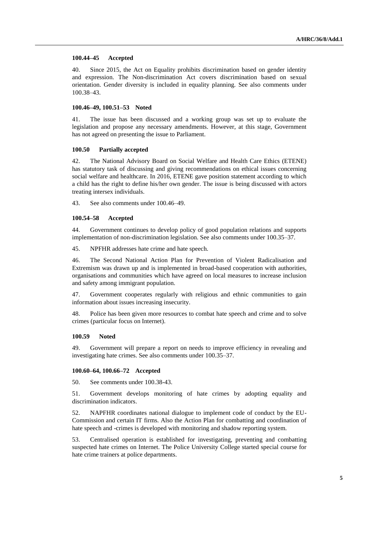## **100.44–45 Accepted**

40. Since 2015, the Act on Equality prohibits discrimination based on gender identity and expression. The Non-discrimination Act covers discrimination based on sexual orientation. Gender diversity is included in equality planning. See also comments under 100.38–43.

# **100.46–49, 100.51–53 Noted**

41. The issue has been discussed and a working group was set up to evaluate the legislation and propose any necessary amendments. However, at this stage, Government has not agreed on presenting the issue to Parliament.

# **100.50 Partially accepted**

42. The National Advisory Board on Social Welfare and Health Care Ethics (ETENE) has statutory task of discussing and giving recommendations on ethical issues concerning social welfare and healthcare. In 2016, ETENE gave position statement according to which a child has the right to define his/her own gender. The issue is being discussed with actors treating intersex individuals.

43. See also comments under 100.46–49.

#### **100.54–58 Accepted**

44. Government continues to develop policy of good population relations and supports implementation of non-discrimination legislation. See also comments under 100.35–37.

45. NPFHR addresses hate crime and hate speech.

46. The Second National Action Plan for Prevention of Violent Radicalisation and Extremism was drawn up and is implemented in broad-based cooperation with authorities, organisations and communities which have agreed on local measures to increase inclusion and safety among immigrant population.

47. Government cooperates regularly with religious and ethnic communities to gain information about issues increasing insecurity.

48. Police has been given more resources to combat hate speech and crime and to solve crimes (particular focus on Internet).

### **100.59 Noted**

49. Government will prepare a report on needs to improve efficiency in revealing and investigating hate crimes. See also comments under 100.35–37.

# **100.60–64, 100.66–72 Accepted**

50. See comments under 100.38-43.

51. Government develops monitoring of hate crimes by adopting equality and discrimination indicators.

52. NAPFHR coordinates national dialogue to implement code of conduct by the EU-Commission and certain IT firms. Also the Action Plan for combatting and coordination of hate speech and -crimes is developed with monitoring and shadow reporting system.

53. Centralised operation is established for investigating, preventing and combatting suspected hate crimes on Internet. The Police University College started special course for hate crime trainers at police departments.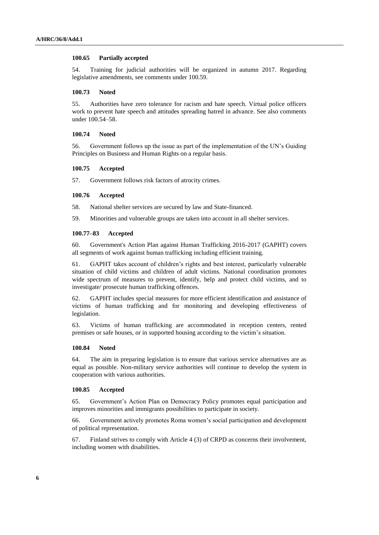### **100.65 Partially accepted**

54. Training for judicial authorities will be organized in autumn 2017. Regarding legislative amendments, see comments under 100.59.

## **100.73 Noted**

55. Authorities have zero tolerance for racism and hate speech. Virtual police officers work to prevent hate speech and attitudes spreading hatred in advance. See also comments under 100.54–58.

## **100.74 Noted**

56. Government follows up the issue as part of the implementation of the UN's Guiding Principles on Business and Human Rights on a regular basis.

## **100.75 Accepted**

57. Government follows risk factors of atrocity crimes.

## **100.76 Accepted**

58. National shelter services are secured by law and State-financed.

59. Minorities and vulnerable groups are taken into account in all shelter services.

# **100.77–83 Accepted**

60. Government's Action Plan against Human Trafficking 2016-2017 (GAPHT) covers all segments of work against human trafficking including efficient training.

61. GAPHT takes account of children's rights and best interest, particularly vulnerable situation of child victims and children of adult victims. National coordination promotes wide spectrum of measures to prevent, identify, help and protect child victims, and to investigate/ prosecute human trafficking offences.

62. GAPHT includes special measures for more efficient identification and assistance of victims of human trafficking and for monitoring and developing effectiveness of legislation.

63. Victims of human trafficking are accommodated in reception centers, rented premises or safe houses, or in supported housing according to the victim's situation.

# **100.84 Noted**

64. The aim in preparing legislation is to ensure that various service alternatives are as equal as possible. Non-military service authorities will continue to develop the system in cooperation with various authorities.

# **100.85 Accepted**

65. Government's Action Plan on Democracy Policy promotes equal participation and improves minorities and immigrants possibilities to participate in society.

66. Government actively promotes Roma women's social participation and development of political representation.

67. Finland strives to comply with Article 4 (3) of CRPD as concerns their involvement, including women with disabilities.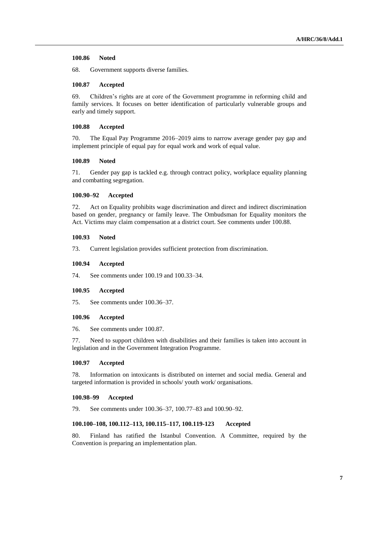# **100.86 Noted**

68. Government supports diverse families.

## **100.87 Accepted**

69. Children's rights are at core of the Government programme in reforming child and family services. It focuses on better identification of particularly vulnerable groups and early and timely support.

# **100.88 Accepted**

70. The Equal Pay Programme 2016–2019 aims to narrow average gender pay gap and implement principle of equal pay for equal work and work of equal value.

# **100.89 Noted**

71. Gender pay gap is tackled e.g. through contract policy, workplace equality planning and combatting segregation.

# **100.90–92 Accepted**

72. Act on Equality prohibits wage discrimination and direct and indirect discrimination based on gender, pregnancy or family leave. The Ombudsman for Equality monitors the Act. Victims may claim compensation at a district court. See comments under 100.88.

#### **100.93 Noted**

73. Current legislation provides sufficient protection from discrimination.

#### **100.94 Accepted**

74. See comments under 100.19 and 100.33–34.

### **100.95 Accepted**

75. See comments under 100.36–37.

# **100.96 Accepted**

76. See comments under 100.87.

77. Need to support children with disabilities and their families is taken into account in legislation and in the Government Integration Programme.

# **100.97 Accepted**

78. Information on intoxicants is distributed on internet and social media. General and targeted information is provided in schools/ youth work/ organisations.

#### **100.98–99 Accepted**

79. See comments under 100.36–37, 100.77–83 and 100.90–92.

# **100.100–108, 100.112–113, 100.115–117, 100.119-123 Accepted**

80. Finland has ratified the Istanbul Convention. A Committee, required by the Convention is preparing an implementation plan.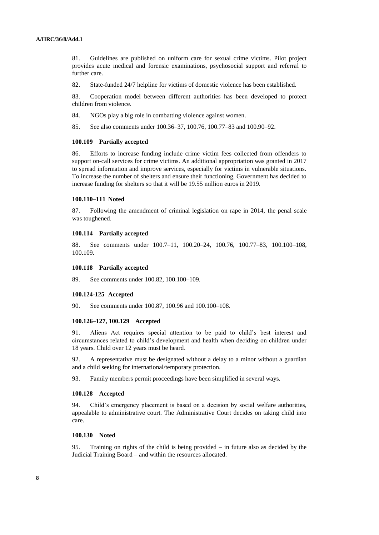81. Guidelines are published on uniform care for sexual crime victims. Pilot project provides acute medical and forensic examinations, psychosocial support and referral to further care.

82. State-funded 24/7 helpline for victims of domestic violence has been established.

83. Cooperation model between different authorities has been developed to protect children from violence.

84. NGOs play a big role in combatting violence against women.

85. See also comments under 100.36–37, 100.76, 100.77–83 and 100.90–92.

### **100.109 Partially accepted**

86. Efforts to increase funding include crime victim fees collected from offenders to support on-call services for crime victims. An additional appropriation was granted in 2017 to spread information and improve services, especially for victims in vulnerable situations. To increase the number of shelters and ensure their functioning, Government has decided to increase funding for shelters so that it will be 19.55 million euros in 2019.

## **100.110–111 Noted**

87. Following the amendment of criminal legislation on rape in 2014, the penal scale was toughened.

## **100.114 Partially accepted**

88. See comments under 100.7–11, 100.20–24, 100.76, 100.77–83, 100.100–108, 100.109.

# **100.118 Partially accepted**

89. See comments under 100.82, 100.100–109.

# **100.124-125 Accepted**

90. See comments under 100.87, 100.96 and 100.100–108.

## **100.126–127, 100.129 Accepted**

91. Aliens Act requires special attention to be paid to child's best interest and circumstances related to child's development and health when deciding on children under 18 years. Child over 12 years must be heard.

92. A representative must be designated without a delay to a minor without a guardian and a child seeking for international/temporary protection.

93. Family members permit proceedings have been simplified in several ways.

## **100.128 Accepted**

94. Child's emergency placement is based on a decision by social welfare authorities, appealable to administrative court. The Administrative Court decides on taking child into care.

# **100.130 Noted**

95. Training on rights of the child is being provided – in future also as decided by the Judicial Training Board – and within the resources allocated.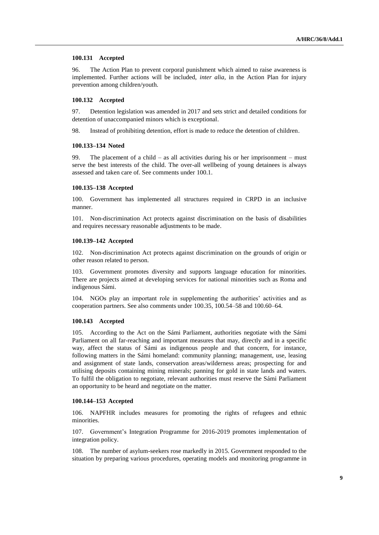## **100.131 Accepted**

96. The Action Plan to prevent corporal punishment which aimed to raise awareness is implemented. Further actions will be included, *inter alia*, in the Action Plan for injury prevention among children/youth.

## **100.132 Accepted**

97. Detention legislation was amended in 2017 and sets strict and detailed conditions for detention of unaccompanied minors which is exceptional.

98. Instead of prohibiting detention, effort is made to reduce the detention of children.

## **100.133–134 Noted**

99. The placement of a child – as all activities during his or her imprisonment – must serve the best interests of the child. The over-all wellbeing of young detainees is always assessed and taken care of. See comments under 100.1.

#### **100.135–138 Accepted**

100. Government has implemented all structures required in CRPD in an inclusive manner.

101. Non-discrimination Act protects against discrimination on the basis of disabilities and requires necessary reasonable adjustments to be made.

## **100.139–142 Accepted**

102. Non-discrimination Act protects against discrimination on the grounds of origin or other reason related to person.

103. Government promotes diversity and supports language education for minorities. There are projects aimed at developing services for national minorities such as Roma and indigenous Sámi.

104. NGOs play an important role in supplementing the authorities' activities and as cooperation partners. See also comments under 100.35, 100.54–58 and 100.60–64.

## **100.143 Accepted**

105. According to the Act on the Sámi Parliament, authorities negotiate with the Sámi Parliament on all far-reaching and important measures that may, directly and in a specific way, affect the status of Sámi as indigenous people and that concern, for instance, following matters in the Sámi homeland: community planning; management, use, leasing and assignment of state lands, conservation areas/wilderness areas; prospecting for and utilising deposits containing mining minerals; panning for gold in state lands and waters. To fulfil the obligation to negotiate, relevant authorities must reserve the Sámi Parliament an opportunity to be heard and negotiate on the matter.

### **100.144–153 Accepted**

106. NAPFHR includes measures for promoting the rights of refugees and ethnic minorities.

107. Government's Integration Programme for 2016-2019 promotes implementation of integration policy.

108. The number of asylum-seekers rose markedly in 2015. Government responded to the situation by preparing various procedures, operating models and monitoring programme in